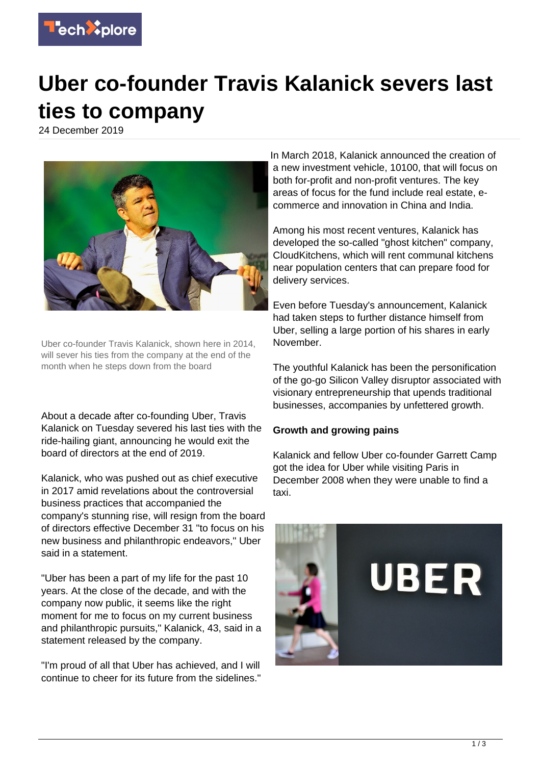

## **Uber co-founder Travis Kalanick severs last ties to company**

24 December 2019



Uber co-founder Travis Kalanick, shown here in 2014, will sever his ties from the company at the end of the month when he steps down from the board

About a decade after co-founding Uber, Travis Kalanick on Tuesday severed his last ties with the ride-hailing giant, announcing he would exit the board of directors at the end of 2019.

Kalanick, who was pushed out as chief executive in 2017 amid revelations about the controversial business practices that accompanied the company's stunning rise, will resign from the board of directors effective December 31 "to focus on his new business and philanthropic endeavors," Uber said in a statement.

"Uber has been a part of my life for the past 10 years. At the close of the decade, and with the company now public, it seems like the right moment for me to focus on my current business and philanthropic pursuits," Kalanick, 43, said in a statement released by the company.

"I'm proud of all that Uber has achieved, and I will continue to cheer for its future from the sidelines."

In March 2018, Kalanick announced the creation of a new investment vehicle, 10100, that will focus on both for-profit and non-profit ventures. The key areas of focus for the fund include real estate, ecommerce and innovation in China and India.

Among his most recent ventures, Kalanick has developed the so-called "ghost kitchen" company, CloudKitchens, which will rent communal kitchens near population centers that can prepare food for delivery services.

Even before Tuesday's announcement, Kalanick had taken steps to further distance himself from Uber, selling a large portion of his shares in early November.

The youthful Kalanick has been the personification of the go-go Silicon Valley disruptor associated with visionary entrepreneurship that upends traditional businesses, accompanies by unfettered growth.

## **Growth and growing pains**

Kalanick and fellow Uber co-founder Garrett Camp got the idea for Uber while visiting Paris in December 2008 when they were unable to find a taxi.

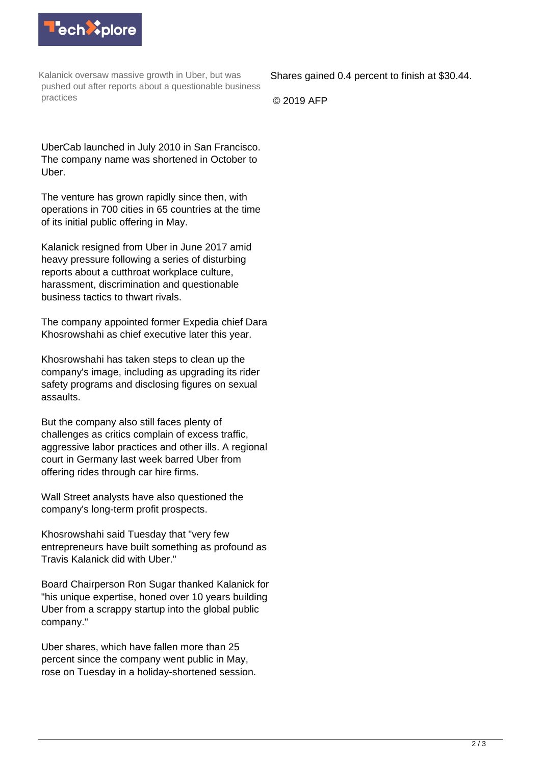

Kalanick oversaw massive growth in Uber, but was pushed out after reports about a questionable business practices

Shares gained 0.4 percent to finish at \$30.44.

© 2019 AFP

UberCab launched in July 2010 in San Francisco. The company name was shortened in October to Uber.

The venture has grown rapidly since then, with operations in 700 cities in 65 countries at the time of its initial public offering in May.

Kalanick resigned from Uber in June 2017 amid heavy pressure following a series of disturbing reports about a cutthroat workplace culture, harassment, discrimination and questionable business tactics to thwart rivals.

The company appointed former Expedia chief Dara Khosrowshahi as chief executive later this year.

Khosrowshahi has taken steps to clean up the company's image, including as upgrading its rider safety programs and disclosing figures on sexual assaults.

But the company also still faces plenty of challenges as critics complain of excess traffic, aggressive labor practices and other ills. A regional court in Germany last week barred Uber from offering rides through car hire firms.

Wall Street analysts have also questioned the company's long-term profit prospects.

Khosrowshahi said Tuesday that "very few entrepreneurs have built something as profound as Travis Kalanick did with Uber."

Board Chairperson Ron Sugar thanked Kalanick for "his unique expertise, honed over 10 years building Uber from a scrappy startup into the global public company."

Uber shares, which have fallen more than 25 percent since the company went public in May, rose on Tuesday in a holiday-shortened session.